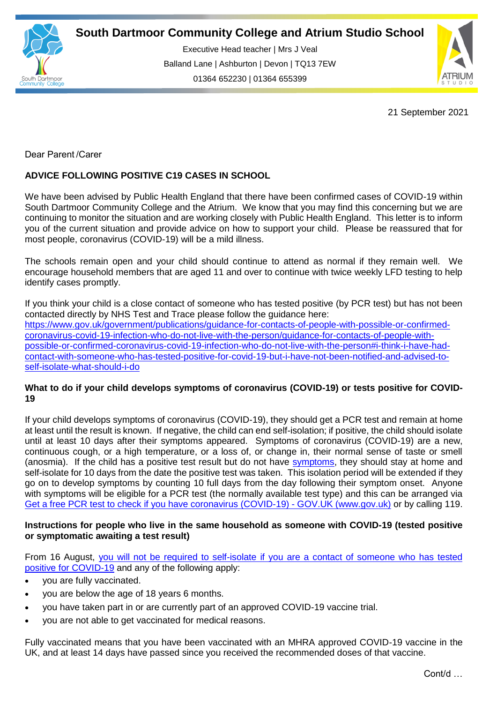

Executive Head teacher | Mrs J Veal Balland Lane | Ashburton | Devon | TQ13 7EW 01364 652230 | 01364 655399

ww.south.uk | [www.atrium-studio.co.uk](http://www.atrium-studio.co.uk/) | www.atrium-studio.co.uk



21 September 2021

Dear Parent /Carer

# **ADVICE FOLLOWING POSITIVE C19 CASES IN SCHOOL**

We have been advised by Public Health England that there have been confirmed cases of COVID-19 within South Dartmoor Community College and the Atrium. We know that you may find this concerning but we are continuing to monitor the situation and are working closely with Public Health England. This letter is to inform you of the current situation and provide advice on how to support your child. Please be reassured that for most people, coronavirus (COVID-19) will be a mild illness.

The schools remain open and your child should continue to attend as normal if they remain well. We encourage household members that are aged 11 and over to continue with twice weekly LFD testing to help identify cases promptly.

If you think your child is a close contact of someone who has tested positive (by PCR test) but has not been contacted directly by NHS Test and Trace please follow the guidance here: [https://www.gov.uk/government/publications/guidance-for-contacts-of-people-with-possible-or-confirmed](https://www.gov.uk/government/publications/guidance-for-contacts-of-people-with-possible-or-confirmed-coronavirus-covid-19-infection-who-do-not-live-with-the-person/guidance-for-contacts-of-people-with-possible-or-confirmed-coronavirus-covid-19-infection-who-do-not-live-with-the-person#i-think-i-have-had-contact-with-someone-who-has-tested-positive-for-covid-19-but-i-have-not-been-notified-and-advised-to-self-isolate-what-should-i-do)[coronavirus-covid-19-infection-who-do-not-live-with-the-person/guidance-for-contacts-of-people-with](https://www.gov.uk/government/publications/guidance-for-contacts-of-people-with-possible-or-confirmed-coronavirus-covid-19-infection-who-do-not-live-with-the-person/guidance-for-contacts-of-people-with-possible-or-confirmed-coronavirus-covid-19-infection-who-do-not-live-with-the-person#i-think-i-have-had-contact-with-someone-who-has-tested-positive-for-covid-19-but-i-have-not-been-notified-and-advised-to-self-isolate-what-should-i-do)[possible-or-confirmed-coronavirus-covid-19-infection-who-do-not-live-with-the-person#i-think-i-have-had](https://www.gov.uk/government/publications/guidance-for-contacts-of-people-with-possible-or-confirmed-coronavirus-covid-19-infection-who-do-not-live-with-the-person/guidance-for-contacts-of-people-with-possible-or-confirmed-coronavirus-covid-19-infection-who-do-not-live-with-the-person#i-think-i-have-had-contact-with-someone-who-has-tested-positive-for-covid-19-but-i-have-not-been-notified-and-advised-to-self-isolate-what-should-i-do)[contact-with-someone-who-has-tested-positive-for-covid-19-but-i-have-not-been-notified-and-advised-to](https://www.gov.uk/government/publications/guidance-for-contacts-of-people-with-possible-or-confirmed-coronavirus-covid-19-infection-who-do-not-live-with-the-person/guidance-for-contacts-of-people-with-possible-or-confirmed-coronavirus-covid-19-infection-who-do-not-live-with-the-person#i-think-i-have-had-contact-with-someone-who-has-tested-positive-for-covid-19-but-i-have-not-been-notified-and-advised-to-self-isolate-what-should-i-do)[self-isolate-what-should-i-do](https://www.gov.uk/government/publications/guidance-for-contacts-of-people-with-possible-or-confirmed-coronavirus-covid-19-infection-who-do-not-live-with-the-person/guidance-for-contacts-of-people-with-possible-or-confirmed-coronavirus-covid-19-infection-who-do-not-live-with-the-person#i-think-i-have-had-contact-with-someone-who-has-tested-positive-for-covid-19-but-i-have-not-been-notified-and-advised-to-self-isolate-what-should-i-do) 

## **What to do if your child develops symptoms of coronavirus (COVID-19) or tests positive for COVID-19**

If your child develops symptoms of coronavirus (COVID-19), they should get a PCR test and remain at home at least until the result is known. If negative, the child can end self-isolation; if positive, the child should isolate until at least 10 days after their symptoms appeared. Symptoms of coronavirus (COVID-19) are a new, continuous cough, or a high temperature, or a loss of, or change in, their normal sense of taste or smell (anosmia). If the child has a positive test result but do not have [symptoms,](https://www.gov.uk/government/publications/covid-19-stay-at-home-guidance/stay-at-home-guidance-for-households-with-possible-coronavirus-covid-19-infection#symptoms) they should stay at home and self-isolate for 10 days from the date the positive test was taken. This isolation period will be extended if they go on to develop symptoms by counting 10 full days from the day following their symptom onset. Anyone with symptoms will be eligible for a PCR test (the normally available test type) and this can be arranged via [Get a free PCR test to check if you have coronavirus \(COVID-19\) -](https://www.gov.uk/get-coronavirus-test) GOV.UK (www.gov.uk) or by calling 119.

#### **Instructions for people who live in the same household as someone with COVID-19 (tested positive or symptomatic awaiting a test result)**

From 16 August, [you will not be required to self-isolate if you are a contact of someone who has tested](https://www.gov.uk/government/publications/covid-19-stay-at-home-guidance/stay-at-home-guidance-for-households-with-possible-coronavirus-covid-19-infection#exempt)  [positive for COVID-19](https://www.gov.uk/government/publications/covid-19-stay-at-home-guidance/stay-at-home-guidance-for-households-with-possible-coronavirus-covid-19-infection#exempt) and any of the following apply:

- you are fully vaccinated.
- you are below the age of 18 years 6 months.
- you have taken part in or are currently part of an approved COVID-19 vaccine trial.
- you are not able to get vaccinated for medical reasons.

Fully vaccinated means that you have been vaccinated with an MHRA approved COVID-19 vaccine in the UK, and at least 14 days have passed since you received the recommended doses of that vaccine.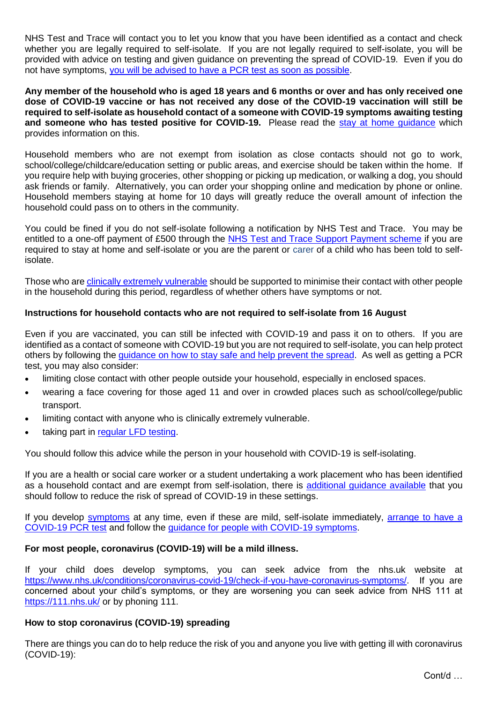NHS Test and Trace will contact you to let you know that you have been identified as a contact and check whether you are legally required to self-isolate. If you are not legally required to self-isolate, you will be provided with advice on testing and given guidance on preventing the spread of COVID-19. Even if you do not have symptoms, [you will be advised to have a](https://www.gov.uk/government/publications/covid-19-stay-at-home-guidance/stay-at-home-guidance-for-households-with-possible-coronavirus-covid-19-infection#PCR) PCR test as soon as possible.

**Any member of the household who is aged 18 years and 6 months or over and has only received one dose of COVID-19 vaccine or has not received any dose of the COVID-19 vaccination will still be required to self-isolate as household contact of a someone with COVID-19 symptoms awaiting testing and someone who has tested positive for COVID-19.** Please read the [stay at home guidance](https://www.gov.uk/government/publications/covid-19-stay-at-home-guidance) which provides information on this.

Household members who are not exempt from isolation as close contacts should not go to work, school/college/childcare/education setting or public areas, and exercise should be taken within the home. If you require help with buying groceries, other shopping or picking up medication, or walking a dog, you should ask friends or family. Alternatively, you can order your shopping online and medication by phone or online. Household members staying at home for 10 days will greatly reduce the overall amount of infection the household could pass on to others in the community.

You could be fined if you do not self-isolate following a notification by NHS Test and Trace. You may be entitled to a one-off payment of £500 through the [NHS Test and Trace Support Payment scheme](https://www.gov.uk/government/publications/test-and-trace-support-payment-scheme-claiming-financial-support/claiming-financial-support-under-the-test-and-trace-support-payment-scheme) if you are required to stay at home and self-isolate or you are the parent or carer of a child who has been told to selfisolate.

Those who are [clinically extremely vulnerable](https://www.gov.uk/government/publications/guidance-on-shielding-and-protecting-extremely-vulnerable-persons-from-covid-19/guidance-on-shielding-and-protecting-extremely-vulnerable-persons-from-covid-19) should be supported to minimise their contact with other people in the household during this period, regardless of whether others have symptoms or not.

# **Instructions for household contacts who are not required to self-isolate from 16 August**

Even if you are vaccinated, you can still be infected with COVID-19 and pass it on to others. If you are identified as a contact of someone with COVID-19 but you are not required to self-isolate, you can help protect others by following the [guidance on how to stay safe and help prevent the spread.](https://www.gov.uk/guidance/covid-19-coronavirus-restrictions-what-you-can-and-cannot-do#keeping-yourself-and-others-safe) As well as getting a PCR test, you may also consider:

- limiting close contact with other people outside your household, especially in enclosed spaces.
- wearing a face covering for those aged 11 and over in crowded places such as school/college/public transport.
- limiting contact with anyone who is clinically extremely vulnerable.
- taking part in regular [LFD testing.](https://www.gov.uk/order-coronavirus-rapid-lateral-flow-tests)

You should follow this advice while the person in your household with COVID-19 is self-isolating.

If you are a health or social care worker or a student undertaking a work placement who has been identified as a household contact and are exempt from self-isolation, there is [additional guidance available](https://www.gov.uk/government/publications/covid-19-management-of-exposed-healthcare-workers-and-patients-in-hospital-settings/covid-19-management-of-exposed-healthcare-workers-and-patients-in-hospital-settings) that you should follow to reduce the risk of spread of COVID-19 in these settings.

If you develop [symptoms](https://www.gov.uk/government/publications/covid-19-stay-at-home-guidance/stay-at-home-guidance-for-households-with-possible-coronavirus-covid-19-infection#symptoms) at any time, even if these are mild, self-isolate immediately, [arrange to have a](https://www.gov.uk/get-coronavirus-test)  [COVID-19 PCR](https://www.gov.uk/get-coronavirus-test) test and follow the [guidance for people with COVID-19 symptoms.](https://www.gov.uk/government/publications/covid-19-stay-at-home-guidance/stay-at-home-guidance-for-households-with-possible-coronavirus-covid-19-infection#SymptomsPositiveTest)

## **For most people, coronavirus (COVID-19) will be a mild illness.**

If your child does develop symptoms, you can seek advice from the nhs.uk website at [https://www.nhs.uk/conditions/coronavirus-covid-19/check-if-you-have-coronavirus-symptoms/.](https://www.nhs.uk/conditions/coronavirus-covid-19/check-if-you-have-coronavirus-symptoms/) If you are concerned about your child's symptoms, or they are worsening you can seek advice from NHS 111 at <https://111.nhs.uk/> or by phoning 111.

## **How to stop coronavirus (COVID-19) spreading**

There are things you can do to help reduce the risk of you and anyone you live with getting ill with coronavirus (COVID-19):